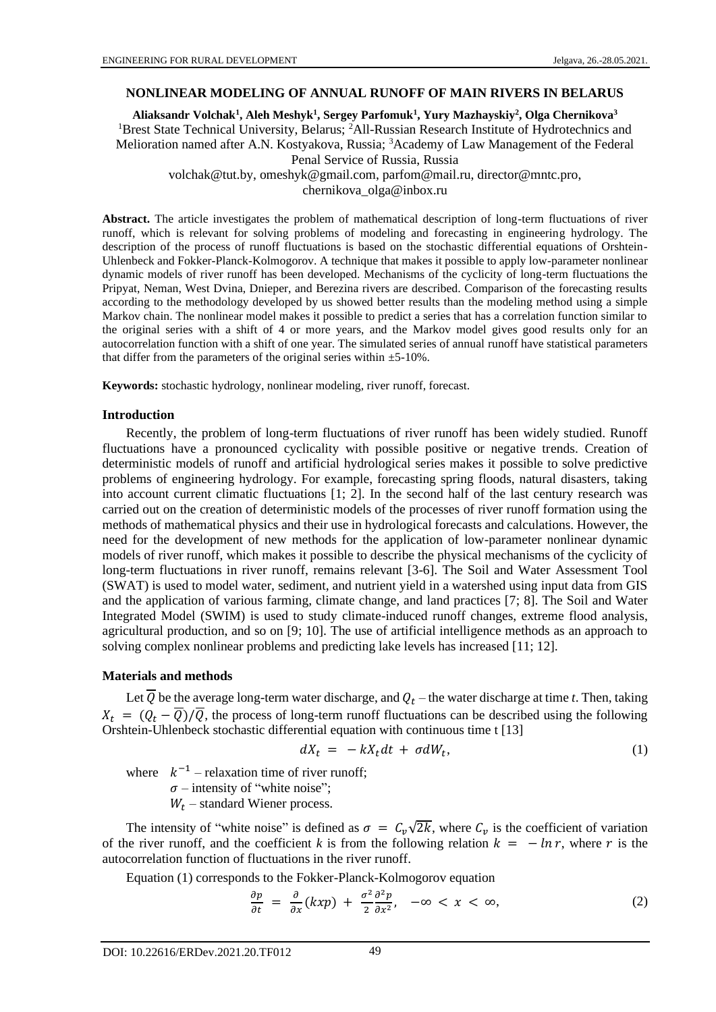### **NONLINEAR MODELING OF ANNUAL RUNOFF OF MAIN RIVERS IN BELARUS**

**Aliaksandr Volchak<sup>1</sup> , Aleh Meshyk<sup>1</sup> , Sergey Parfomuk<sup>1</sup> , Yury Mazhayskiy<sup>2</sup> , Olga Chernikova<sup>3</sup>** <sup>1</sup>Brest State Technical University, Belarus; <sup>2</sup>All-Russian Research Institute of Hydrotechnics and Melioration named after A.N. Kostyakova, Russia; <sup>3</sup>Academy of Law Management of the Federal Penal Service of Russia, Russia volchak@tut.by, omeshyk@gmail.com, parfom@mail.ru, director@mntc.pro, chernikova\_olga@inbox.ru

**Abstract.** The article investigates the problem of mathematical description of long-term fluctuations of river runoff, which is relevant for solving problems of modeling and forecasting in engineering hydrology. The description of the process of runoff fluctuations is based on the stochastic differential equations of Orshtein-Uhlenbeck and Fokker-Planck-Kolmogorov. A technique that makes it possible to apply low-parameter nonlinear dynamic models of river runoff has been developed. Mechanisms of the cyclicity of long-term fluctuations the Pripyat, Neman, West Dvina, Dnieper, and Berezina rivers are described. Comparison of the forecasting results according to the methodology developed by us showed better results than the modeling method using a simple Markov chain. The nonlinear model makes it possible to predict a series that has a correlation function similar to the original series with a shift of 4 or more years, and the Markov model gives good results only for an autocorrelation function with a shift of one year. The simulated series of annual runoff have statistical parameters that differ from the parameters of the original series within  $\pm$ 5-10%.

**Keywords:** stochastic hydrology, nonlinear modeling, river runoff, forecast.

### **Introduction**

Recently, the problem of long-term fluctuations of river runoff has been widely studied. Runoff fluctuations have a pronounced cyclicality with possible positive or negative trends. Creation of deterministic models of runoff and artificial hydrological series makes it possible to solve predictive problems of engineering hydrology. For example, forecasting spring floods, natural disasters, taking into account current climatic fluctuations [1; 2]. In the second half of the last century research was carried out on the creation of deterministic models of the processes of river runoff formation using the methods of mathematical physics and their use in hydrological forecasts and calculations. However, the need for the development of new methods for the application of low-parameter nonlinear dynamic models of river runoff, which makes it possible to describe the physical mechanisms of the cyclicity of long-term fluctuations in river runoff, remains relevant [3-6]. The Soil and Water Assessment Tool (SWAT) is used to model water, sediment, and nutrient yield in a watershed using input data from GIS and the application of various farming, climate change, and land practices [7; 8]. The Soil and Water Integrated Model (SWIM) is used to study climate-induced runoff changes, extreme flood analysis, agricultural production, and so on [9; 10]. The use of artificial intelligence methods as an approach to solving complex nonlinear problems and predicting lake levels has increased [11; 12].

### **Materials and methods**

Let  $Q$  be the average long-term water discharge, and  $Q_t$  – the water discharge at time *t*. Then, taking  $X_t = (Q_t - \overline{Q})/\overline{Q}$ , the process of long-term runoff fluctuations can be described using the following Orshtein-Uhlenbeck stochastic differential equation with continuous time t [13]

$$
dX_t = -kX_t dt + \sigma dW_t, \qquad (1)
$$

where  $k^{-1}$  – relaxation time of river runoff;

 $\sigma$  – intensity of "white noise";

 $W_t$  – standard Wiener process.

The intensity of "white noise" is defined as  $\sigma = C_v \sqrt{2k}$ , where  $C_v$  is the coefficient of variation of the river runoff, and the coefficient k is from the following relation  $k = -\ln r$ , where r is the autocorrelation function of fluctuations in the river runoff.

Equation (1) corresponds to the Fokker-Planck-Kolmogorov equation

$$
\frac{\partial p}{\partial t} = \frac{\partial}{\partial x}(kxp) + \frac{\sigma^2}{2}\frac{\partial^2 p}{\partial x^2}, \quad -\infty < x < \infty,\tag{2}
$$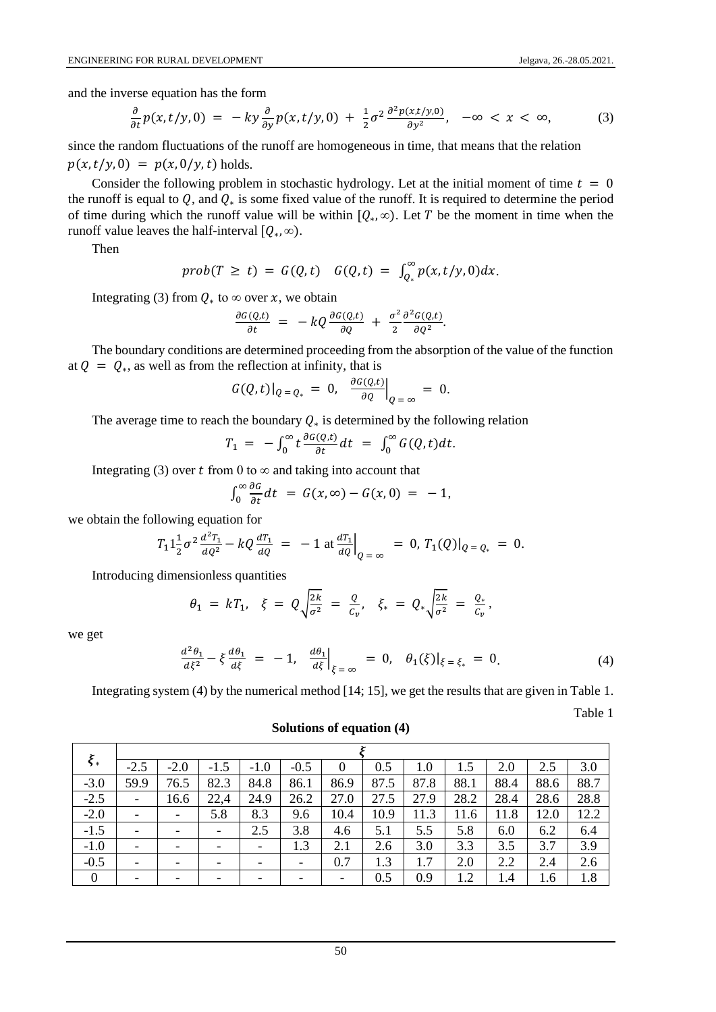and the inverse equation has the form

$$
\frac{\partial}{\partial t}p(x,t/y,0) = -ky\frac{\partial}{\partial y}p(x,t/y,0) + \frac{1}{2}\sigma^2 \frac{\partial^2 p(x,t/y,0)}{\partial y^2}, \quad -\infty < x < \infty,\tag{3}
$$

since the random fluctuations of the runoff are homogeneous in time, that means that the relation  $p(x, t/y, 0) = p(x, 0/y, t)$  holds.

Consider the following problem in stochastic hydrology. Let at the initial moment of time  $t = 0$ the runoff is equal to  $Q$ , and  $Q_*$  is some fixed value of the runoff. It is required to determine the period of time during which the runoff value will be within  $[Q_*, \infty)$ . Let T be the moment in time when the runoff value leaves the half-interval  $[Q_*, \infty)$ .

Then

$$
prob(T \geq t) = G(Q,t) \quad G(Q,t) = \int_{Q_*}^{\infty} p(x,t/y,0) dx.
$$

Integrating (3) from  $Q_*$  to  $\infty$  over x, we obtain

$$
\frac{\partial G(Q,t)}{\partial t} = -kQ \frac{\partial G(Q,t)}{\partial Q} + \frac{\sigma^2}{2} \frac{\partial^2 G(Q,t)}{\partial Q^2}.
$$

The boundary conditions are determined proceeding from the absorption of the value of the function at  $Q = Q_*$ , as well as from the reflection at infinity, that is

$$
G(Q,t)|_{Q=Q_*} = 0, \left. \frac{\partial G(Q,t)}{\partial Q} \right|_{Q=\infty} = 0.
$$

The average time to reach the boundary  $Q_*$  is determined by the following relation

$$
T_1 = -\int_0^\infty t \frac{\partial G(Q,t)}{\partial t} dt = \int_0^\infty G(Q,t) dt.
$$

Integrating (3) over t from 0 to  $\infty$  and taking into account that

$$
\int_0^\infty \frac{\partial G}{\partial t} dt = G(x, \infty) - G(x, 0) = -1,
$$

we obtain the following equation for

$$
T_1 1 \frac{1}{2} \sigma^2 \frac{d^2 T_1}{d Q^2} - k Q \frac{d T_1}{d Q} = -1 \text{ at } \frac{d T_1}{d Q} \Big|_{Q = \infty} = 0, T_1(Q) \Big|_{Q = Q_*} = 0.
$$

Introducing dimensionless quantities

$$
\theta_1 = kT_1, \quad \xi = Q \sqrt{\frac{2k}{\sigma^2}} = \frac{Q}{C_v}, \quad \xi_* = Q_* \sqrt{\frac{2k}{\sigma^2}} = \frac{Q_*}{C_v},
$$

we get

$$
\frac{d^2\theta_1}{d\xi^2} - \xi \frac{d\theta_1}{d\xi} = -1, \quad \frac{d\theta_1}{d\xi}\Big|_{\xi = \infty} = 0, \quad \theta_1(\xi)\Big|_{\xi = \xi_*} = 0. \tag{4}
$$

Integrating system (4) by the numerical method [14; 15], we get the results that are given in Table 1.

Table 1

| $\xi_*$          | $-2.5$                   | $-2.0$                   | $-1.5$ | $-1.0$ | $-0.5$                   | 0    | 0.5  | 1.0  |      | 2.0  | 2.5  | 3.0  |
|------------------|--------------------------|--------------------------|--------|--------|--------------------------|------|------|------|------|------|------|------|
| $-3.0$           | 59.9                     | 76.5                     | 82.3   | 84.8   | 86.1                     | 86.9 | 87.5 | 87.8 | 88.1 | 88.4 | 88.6 | 88.7 |
| $-2.5$           | $\overline{\phantom{a}}$ | 16.6                     | 22,4   | 24.9   | 26.2                     | 27.0 | 27.5 | 27.9 | 28.2 | 28.4 | 28.6 | 28.8 |
| $-2.0$           |                          | -                        | 5.8    | 8.3    | 9.6                      | 10.4 | 10.9 | 11.3 | 11.6 | 11.8 | 12.0 | 12.2 |
| $-1.5$           |                          | $\overline{\phantom{0}}$ | -      | 2.5    | 3.8                      | 4.6  | 5.1  | 5.5  | 5.8  | 6.0  | 6.2  | 6.4  |
| $-1.0$           |                          | -                        |        |        | 1.3                      | 2.1  | 2.6  | 3.0  | 3.3  | 3.5  | 3.7  | 3.9  |
| $-0.5$           |                          | $\overline{\phantom{0}}$ |        |        | $\overline{\phantom{a}}$ | 0.7  | 1.3  | 1.7  | 2.0  | 2.2  | 2.4  | 2.6  |
| $\boldsymbol{0}$ |                          | $\overline{\phantom{0}}$ |        |        |                          | -    | 0.5  | 0.9  | 1.2  | 1.4  | 1.6  | 1.8  |

**Solutions of equation (4)**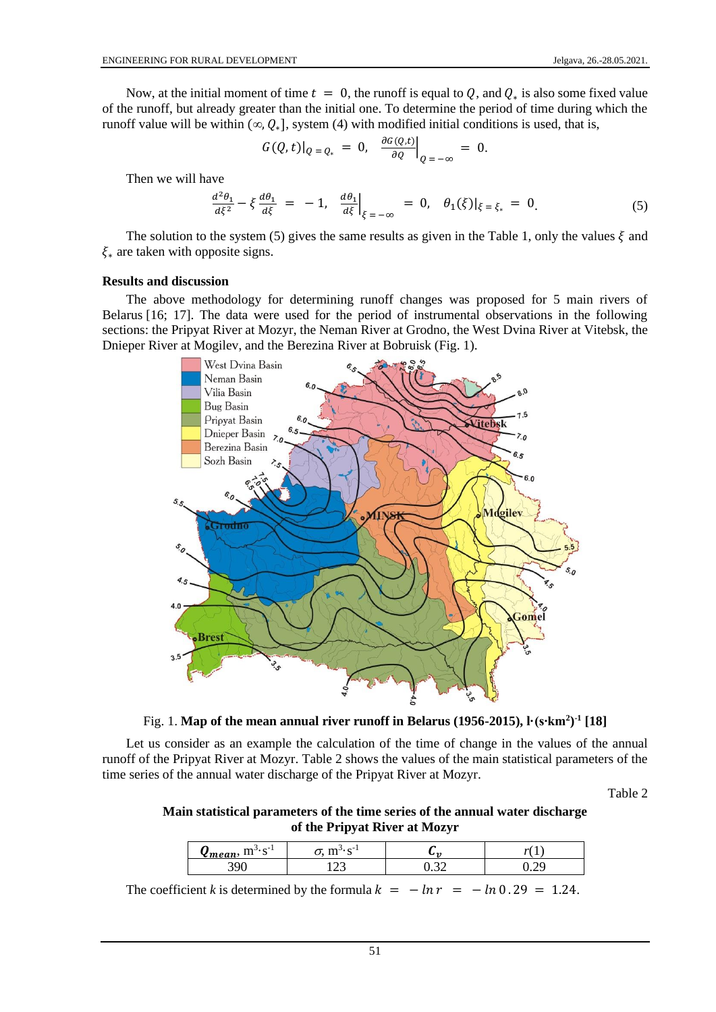Now, at the initial moment of time  $t = 0$ , the runoff is equal to  $Q$ , and  $Q_*$  is also some fixed value of the runoff, but already greater than the initial one. To determine the period of time during which the runoff value will be within  $(\infty, Q_*]$ , system (4) with modified initial conditions is used, that is,

$$
G(Q,t)|_{Q=Q_*} = 0, \left. \frac{\partial G(Q,t)}{\partial Q} \right|_{Q=-\infty} = 0.
$$

Then we will have

$$
\frac{d^2\theta_1}{d\xi^2} - \xi \frac{d\theta_1}{d\xi} = -1, \quad \frac{d\theta_1}{d\xi}\Big|_{\xi = -\infty} = 0, \quad \theta_1(\xi)\Big|_{\xi = \xi_*} = 0. \tag{5}
$$

The solution to the system (5) gives the same results as given in the Table 1, only the values  $\xi$  and  $\xi_*$  are taken with opposite signs.

### **Results and discussion**

The above methodology for determining runoff changes was proposed for 5 main rivers of Belarus [16; 17]. The data were used for the period of instrumental observations in the following sections: the Pripyat River at Mozyr, the Neman River at Grodno, the West Dvina River at Vitebsk, the Dnieper River at Mogilev, and the Berezina River at Bobruisk (Fig. 1).



Fig. 1. **Map of the mean annual river runoff in Belarus (1956-2015), l·(s∙km<sup>2</sup> ) -1 [18]**

Let us consider as an example the calculation of the time of change in the values of the annual runoff of the Pripyat River at Mozyr. Table 2 shows the values of the main statistical parameters of the time series of the annual water discharge of the Pripyat River at Mozyr.

Table 2

**Main statistical parameters of the time series of the annual water discharge of the Pripyat River at Mozyr**

| $\sim$<br>m <sup>J</sup><br>$\sim$<br>moan,<br>ни -<br>. .<br>ື | $\sim$ - $\sim$<br>$\mathbf{m}$ | $\sim$ $\sim$ | 7.41 |
|-----------------------------------------------------------------|---------------------------------|---------------|------|
|                                                                 | $\sim$<br>--                    |               |      |

The coefficient *k* is determined by the formula  $k = -\ln r = -\ln 0.29 = 1.24$ .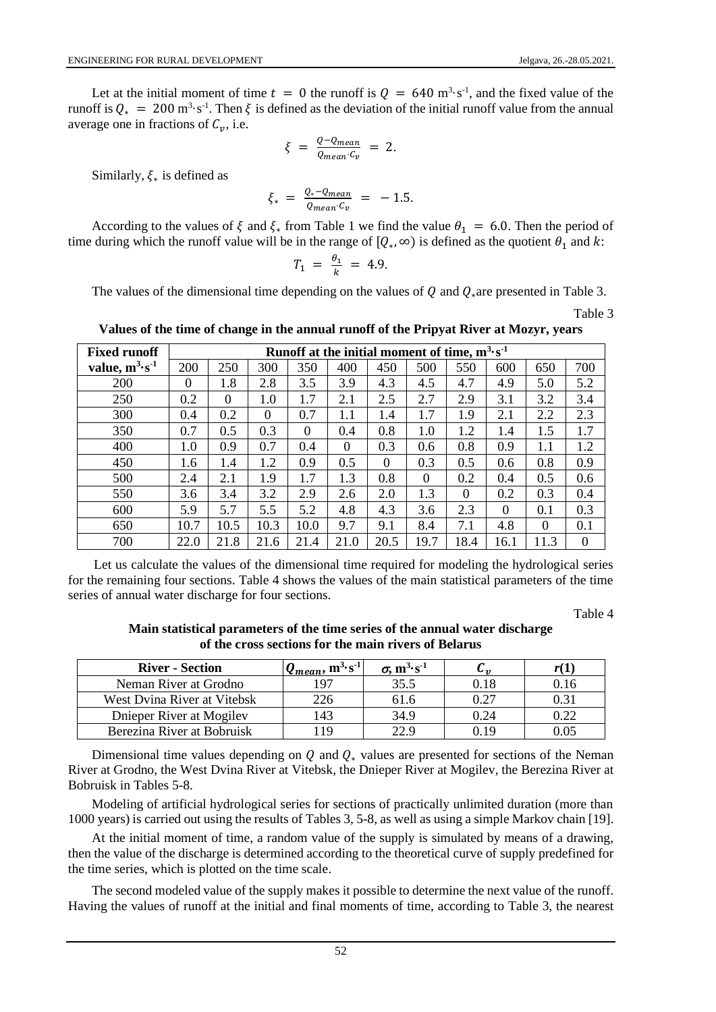Let at the initial moment of time  $t = 0$  the runoff is  $Q = 640$  m<sup>3</sup> $\cdot$ s<sup>-1</sup>, and the fixed value of the runoff is  $Q_* = 200 \text{ m}^3 \cdot \text{s}^{-1}$ . Then  $\xi$  is defined as the deviation of the initial runoff value from the annual average one in fractions of  $C_v$ , i.e.

$$
\xi = \frac{Q - Q_{mean}}{Q_{mean} \cdot C_v} = 2.
$$

Similarly,  $\xi_*$  is defined as

$$
\xi_* = \frac{Q_* - Q_{mean}}{Q_{mean} \cdot C_v} = -1.5.
$$

According to the values of  $\xi$  and  $\xi_*$  from Table 1 we find the value  $\theta_1 = 6.0$ . Then the period of time during which the runoff value will be in the range of  $[Q_*, \infty)$  is defined as the quotient  $\theta_1$  and k:

$$
T_1 = \frac{\theta_1}{k} = 4.9.
$$

The values of the dimensional time depending on the values of Q and  $Q_*$  are presented in Table 3.

Table 3

**Values of the time of change in the annual runoff of the Pripyat River at Mozyr, years**

| <b>Fixed runoff</b>       |          | Runoff at the initial moment of time, $m^3 s^{-1}$ |          |          |          |          |          |          |          |          |     |  |  |
|---------------------------|----------|----------------------------------------------------|----------|----------|----------|----------|----------|----------|----------|----------|-----|--|--|
| value, $m^3 \cdot s^{-1}$ | 200      | 250                                                | 300      | 350      | 400      | 450      | 500      | 550      | 600      | 650      | 700 |  |  |
| 200                       | $\theta$ | 1.8                                                | 2.8      | 3.5      | 3.9      | 4.3      | 4.5      | 4.7      | 4.9      | 5.0      | 5.2 |  |  |
| 250                       | 0.2      | $\Omega$                                           | $1.0\,$  | 1.7      | 2.1      | 2.5      | 2.7      | 2.9      | 3.1      | 3.2      | 3.4 |  |  |
| 300                       | 0.4      | 0.2                                                | $\Omega$ | 0.7      | 1.1      | 1.4      | 1.7      | 1.9      | 2.1      | 2.2      | 2.3 |  |  |
| 350                       | 0.7      | 0.5                                                | 0.3      | $\Omega$ | 0.4      | 0.8      | $1.0\,$  | 1.2      | 1.4      | 1.5      | 1.7 |  |  |
| 400                       | 1.0      | 0.9                                                | 0.7      | 0.4      | $\theta$ | 0.3      | 0.6      | 0.8      | 0.9      | 1.1      | 1.2 |  |  |
| 450                       | 1.6      | 1.4                                                | 1.2      | 0.9      | 0.5      | $\Omega$ | 0.3      | 0.5      | 0.6      | 0.8      | 0.9 |  |  |
| 500                       | 2.4      | 2.1                                                | 1.9      | 1.7      | 1.3      | 0.8      | $\Omega$ | 0.2      | 0.4      | 0.5      | 0.6 |  |  |
| 550                       | 3.6      | 3.4                                                | 3.2      | 2.9      | 2.6      | 2.0      | 1.3      | $\Omega$ | 0.2      | 0.3      | 0.4 |  |  |
| 600                       | 5.9      | 5.7                                                | 5.5      | 5.2      | 4.8      | 4.3      | 3.6      | 2.3      | $\Omega$ | 0.1      | 0.3 |  |  |
| 650                       | 10.7     | 10.5                                               | 10.3     | 10.0     | 9.7      | 9.1      | 8.4      | 7.1      | 4.8      | $\Omega$ | 0.1 |  |  |
| 700                       | 22.0     | 21.8                                               | 21.6     | 21.4     | 21.0     | 20.5     | 19.7     | 18.4     | 16.1     | 11.3     | 0   |  |  |

Let us calculate the values of the dimensional time required for modeling the hydrological series for the remaining four sections. Table 4 shows the values of the main statistical parameters of the time series of annual water discharge for four sections.

Table 4

**Main statistical parameters of the time series of the annual water discharge of the cross sections for the main rivers of Belarus**

| <b>River - Section</b>      | $\mathbf{Q}_{mean}$ , $\mathbf{m}^{3} \cdot \mathbf{s}^{-1}$ | $\sigma$ , m <sup>3</sup> ·s <sup>-1</sup> | ັບກ  |      |
|-----------------------------|--------------------------------------------------------------|--------------------------------------------|------|------|
| Neman River at Grodno       | 197                                                          | 35.5                                       | 0.18 | J.IO |
| West Dvina River at Vitebsk |                                                              | 61.6                                       | 0.27 |      |
| Dnieper River at Mogilev    | 143                                                          | 34.9                                       | 0.24 | 0.22 |
| Berezina River at Bobruisk  |                                                              |                                            | በ 19 |      |

Dimensional time values depending on  $Q$  and  $Q_*$  values are presented for sections of the Neman River at Grodno, the West Dvina River at Vitebsk, the Dnieper River at Mogilev, the Berezina River at Bobruisk in Tables 5-8.

Modeling of artificial hydrological series for sections of practically unlimited duration (more than 1000 years) is carried out using the results of Tables 3, 5-8, as well as using a simple Markov chain [19].

At the initial moment of time, a random value of the supply is simulated by means of a drawing, then the value of the discharge is determined according to the theoretical curve of supply predefined for the time series, which is plotted on the time scale.

The second modeled value of the supply makes it possible to determine the next value of the runoff. Having the values of runoff at the initial and final moments of time, according to Table 3, the nearest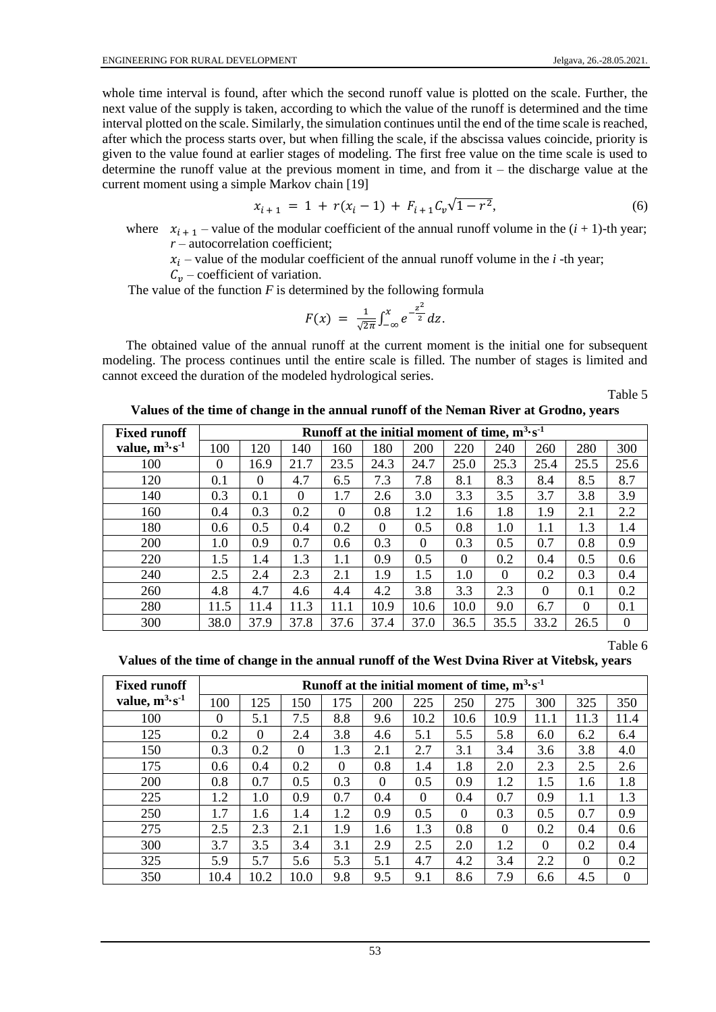whole time interval is found, after which the second runoff value is plotted on the scale. Further, the next value of the supply is taken, according to which the value of the runoff is determined and the time interval plotted on the scale. Similarly, the simulation continues until the end of the time scale is reached, after which the process starts over, but when filling the scale, if the abscissa values coincide, priority is given to the value found at earlier stages of modeling. The first free value on the time scale is used to determine the runoff value at the previous moment in time, and from it – the discharge value at the current moment using a simple Markov chain [19]

$$
x_{i+1} = 1 + r(x_i - 1) + F_{i+1}C_v\sqrt{1 - r^2},
$$
\n(6)

where  $x_{i+1}$  – value of the modular coefficient of the annual runoff volume in the  $(i + 1)$ -th year; *r* – autocorrelation coefficient;

 $x_i$  – value of the modular coefficient of the annual runoff volume in the  $i$ -th year;

 $C_v$  – coefficient of variation.

The value of the function  $F$  is determined by the following formula

$$
F(x) = \frac{1}{\sqrt{2\pi}} \int_{-\infty}^{x} e^{-\frac{z^2}{2}} dz.
$$

The obtained value of the annual runoff at the current moment is the initial one for subsequent modeling. The process continues until the entire scale is filled. The number of stages is limited and cannot exceed the duration of the modeled hydrological series.

Table 5

| <b>Fixed runoff</b>       |                  |          |          |          |          |          | Runoff at the initial moment of time, $m^3 s^{-1}$ |          |          |          |          |
|---------------------------|------------------|----------|----------|----------|----------|----------|----------------------------------------------------|----------|----------|----------|----------|
| value, $m^3 \cdot s^{-1}$ | 100              | 120      | 140      | 160      | 180      | 200      | 220                                                | 240      | 260      | 280      | 300      |
| 100                       | $\boldsymbol{0}$ | 16.9     | 21.7     | 23.5     | 24.3     | 24.7     | 25.0                                               | 25.3     | 25.4     | 25.5     | 25.6     |
| 120                       | 0.1              | $\Omega$ | 4.7      | 6.5      | 7.3      | 7.8      | 8.1                                                | 8.3      | 8.4      | 8.5      | 8.7      |
| 140                       | 0.3              | 0.1      | $\theta$ | 1.7      | 2.6      | 3.0      | 3.3                                                | 3.5      | 3.7      | 3.8      | 3.9      |
| 160                       | 0.4              | 0.3      | 0.2      | $\Omega$ | 0.8      | 1.2      | 1.6                                                | 1.8      | 1.9      | 2.1      | 2.2      |
| 180                       | 0.6              | 0.5      | 0.4      | 0.2      | $\theta$ | 0.5      | 0.8                                                | 1.0      | 1.1      | 1.3      | 1.4      |
| 200                       | 1.0              | 0.9      | 0.7      | 0.6      | 0.3      | $\theta$ | 0.3                                                | 0.5      | 0.7      | 0.8      | 0.9      |
| 220                       | 1.5              | 1.4      | 1.3      | 1.1      | 0.9      | 0.5      | $\Omega$                                           | 0.2      | 0.4      | 0.5      | 0.6      |
| 240                       | 2.5              | 2.4      | 2.3      | 2.1      | 1.9      | 1.5      | $1.0\,$                                            | $\theta$ | 0.2      | 0.3      | 0.4      |
| 260                       | 4.8              | 4.7      | 4.6      | 4.4      | 4.2      | 3.8      | 3.3                                                | 2.3      | $\Omega$ | 0.1      | 0.2      |
| 280                       | 11.5             | 11.4     | 11.3     | 11.1     | 10.9     | 10.6     | 10.0                                               | 9.0      | 6.7      | $\Omega$ | 0.1      |
| 300                       | 38.0             | 37.9     | 37.8     | 37.6     | 37.4     | 37.0     | 36.5                                               | 35.5     | 33.2     | 26.5     | $\Omega$ |

Table 6

#### **Values of the time of change in the annual runoff of the West Dvina River at Vitebsk, years**

| <b>Fixed runoff</b>       |      | Runoff at the initial moment of time, $m^3 s^{-1}$ |          |          |          |          |          |          |          |          |          |  |
|---------------------------|------|----------------------------------------------------|----------|----------|----------|----------|----------|----------|----------|----------|----------|--|
| value, $m^3 \cdot s^{-1}$ | 100  | 125                                                | 150      | 175      | 200      | 225      | 250      | 275      | 300      | 325      | 350      |  |
| 100                       | 0    | 5.1                                                | 7.5      | 8.8      | 9.6      | 10.2     | 10.6     | 10.9     | 11.1     | 11.3     | 11.4     |  |
| 125                       | 0.2  | $\Omega$                                           | 2.4      | 3.8      | 4.6      | 5.1      | 5.5      | 5.8      | 6.0      | 6.2      | 6.4      |  |
| 150                       | 0.3  | 0.2                                                | $\theta$ | 1.3      | 2.1      | 2.7      | 3.1      | 3.4      | 3.6      | 3.8      | 4.0      |  |
| 175                       | 0.6  | 0.4                                                | 0.2      | $\Omega$ | 0.8      | 1.4      | 1.8      | 2.0      | 2.3      | 2.5      | 2.6      |  |
| 200                       | 0.8  | 0.7                                                | 0.5      | 0.3      | $\theta$ | 0.5      | 0.9      | 1.2      | 1.5      | 1.6      | 1.8      |  |
| 225                       | 1.2  | 1.0                                                | 0.9      | 0.7      | 0.4      | $\Omega$ | 0.4      | 0.7      | 0.9      | 1.1      | 1.3      |  |
| 250                       | 1.7  | 1.6                                                | 1.4      | 1.2      | 0.9      | 0.5      | $\Omega$ | 0.3      | 0.5      | 0.7      | 0.9      |  |
| 275                       | 2.5  | 2.3                                                | 2.1      | 1.9      | 1.6      | 1.3      | 0.8      | $\theta$ | 0.2      | 0.4      | 0.6      |  |
| 300                       | 3.7  | 3.5                                                | 3.4      | 3.1      | 2.9      | 2.5      | 2.0      | 1.2      | $\Omega$ | 0.2      | 0.4      |  |
| 325                       | 5.9  | 5.7                                                | 5.6      | 5.3      | 5.1      | 4.7      | 4.2      | 3.4      | 2.2      | $\Omega$ | 0.2      |  |
| 350                       | 10.4 | 10.2                                               | 10.0     | 9.8      | 9.5      | 9.1      | 8.6      | 7.9      | 6.6      | 4.5      | $\Omega$ |  |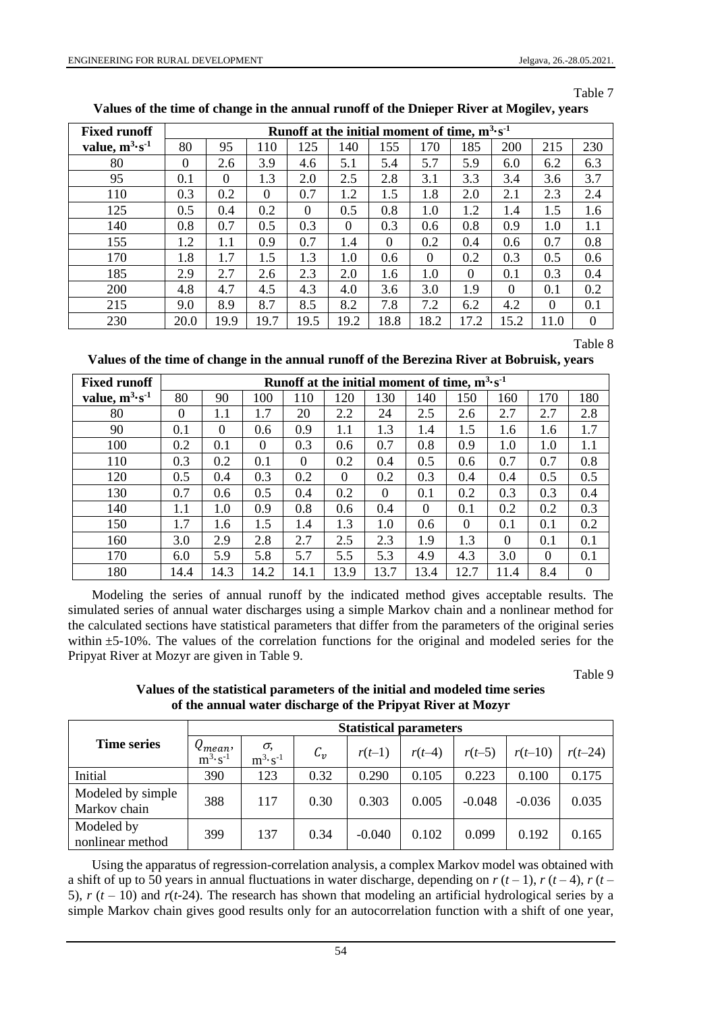Table 7

| <b>Fixed runoff</b> |          |          |          | Runoff at the initial moment of time, $m^3 s^{-1}$ |          |          |          |          |          |          |          |
|---------------------|----------|----------|----------|----------------------------------------------------|----------|----------|----------|----------|----------|----------|----------|
| value, $m^3s^{-1}$  | 80       | 95       | 110      | 125                                                | 140      | 155      | 170      | 185      | 200      | 215      | 230      |
| 80                  | $\theta$ | 2.6      | 3.9      | 4.6                                                | 5.1      | 5.4      | 5.7      | 5.9      | 6.0      | 6.2      | 6.3      |
| 95                  | 0.1      | $\Omega$ | 1.3      | 2.0                                                | 2.5      | 2.8      | 3.1      | 3.3      | 3.4      | 3.6      | 3.7      |
| 110                 | 0.3      | 0.2      | $\Omega$ | 0.7                                                | 1.2      | 1.5      | 1.8      | 2.0      | 2.1      | 2.3      | 2.4      |
| 125                 | 0.5      | 0.4      | 0.2      | $\Omega$                                           | 0.5      | 0.8      | $1.0\,$  | 1.2      | 1.4      | 1.5      | 1.6      |
| 140                 | 0.8      | 0.7      | 0.5      | 0.3                                                | $\theta$ | 0.3      | 0.6      | 0.8      | 0.9      | 1.0      | 1.1      |
| 155                 | 1.2      | 1.1      | 0.9      | 0.7                                                | 1.4      | $\Omega$ | 0.2      | 0.4      | 0.6      | 0.7      | 0.8      |
| 170                 | 1.8      | 1.7      | 1.5      | 1.3                                                | $1.0\,$  | 0.6      | $\theta$ | 0.2      | 0.3      | 0.5      | 0.6      |
| 185                 | 2.9      | 2.7      | 2.6      | 2.3                                                | 2.0      | 1.6      | 1.0      | $\theta$ | 0.1      | 0.3      | 0.4      |
| 200                 | 4.8      | 4.7      | 4.5      | 4.3                                                | 4.0      | 3.6      | 3.0      | 1.9      | $\Omega$ | 0.1      | 0.2      |
| 215                 | 9.0      | 8.9      | 8.7      | 8.5                                                | 8.2      | 7.8      | 7.2      | 6.2      | 4.2      | $\Omega$ | 0.1      |
| 230                 | 20.0     | 19.9     | 19.7     | 19.5                                               | 19.2     | 18.8     | 18.2     | 17.2     | 15.2     | 11.0     | $\Omega$ |

**Values of the time of change in the annual runoff of the Dnieper River at Mogilev, years**

Table 8

**Values of the time of change in the annual runoff of the Berezina River at Bobruisk, years**

| <b>Fixed runoff</b> |          | Runoff at the initial moment of time, $m^3 s^{-1}$ |          |          |      |          |          |          |          |          |     |  |  |
|---------------------|----------|----------------------------------------------------|----------|----------|------|----------|----------|----------|----------|----------|-----|--|--|
| value, $m^3s^1$     | 80       | 90                                                 | 100      | 110      | 120  | 130      | 140      | 150      | 160      | 170      | 180 |  |  |
| 80                  | $\Omega$ | 1.1                                                | 1.7      | 20       | 2.2  | 24       | 2.5      | 2.6      | 2.7      | 2.7      | 2.8 |  |  |
| 90                  | 0.1      | $\Omega$                                           | 0.6      | 0.9      | 1.1  | 1.3      | 1.4      | 1.5      | 1.6      | 1.6      | 1.7 |  |  |
| 100                 | 0.2      | 0.1                                                | $\Omega$ | 0.3      | 0.6  | 0.7      | 0.8      | 0.9      | $1.0\,$  | 1.0      | 1.1 |  |  |
| 110                 | 0.3      | 0.2                                                | 0.1      | $\theta$ | 0.2  | 0.4      | 0.5      | 0.6      | 0.7      | 0.7      | 0.8 |  |  |
| 120                 | 0.5      | 0.4                                                | 0.3      | 0.2      | 0    | 0.2      | 0.3      | 0.4      | 0.4      | 0.5      | 0.5 |  |  |
| 130                 | 0.7      | 0.6                                                | 0.5      | 0.4      | 0.2  | $\Omega$ | 0.1      | 0.2      | 0.3      | 0.3      | 0.4 |  |  |
| 140                 | 1.1      | 1.0                                                | 0.9      | 0.8      | 0.6  | 0.4      | $\Omega$ | 0.1      | 0.2      | 0.2      | 0.3 |  |  |
| 150                 | 1.7      | 1.6                                                | 1.5      | 1.4      | 1.3  | $1.0\,$  | 0.6      | $\theta$ | 0.1      | 0.1      | 0.2 |  |  |
| 160                 | 3.0      | 2.9                                                | 2.8      | 2.7      | 2.5  | 2.3      | 1.9      | 1.3      | $\Omega$ | 0.1      | 0.1 |  |  |
| 170                 | 6.0      | 5.9                                                | 5.8      | 5.7      | 5.5  | 5.3      | 4.9      | 4.3      | 3.0      | $\Omega$ | 0.1 |  |  |
| 180                 | 14.4     | 14.3                                               | 14.2     | 14.1     | 13.9 | 13.7     | 13.4     | 12.7     | 11.4     | 8.4      | 0   |  |  |

Modeling the series of annual runoff by the indicated method gives acceptable results. The simulated series of annual water discharges using a simple Markov chain and a nonlinear method for the calculated sections have statistical parameters that differ from the parameters of the original series within  $\pm$ 5-10%. The values of the correlation functions for the original and modeled series for the Pripyat River at Mozyr are given in Table 9.

Table 9

| Values of the statistical parameters of the initial and modeled time series<br>of the annual water discharge of the Pripyat River at Mozyr |  |
|--------------------------------------------------------------------------------------------------------------------------------------------|--|
|                                                                                                                                            |  |

|                                   |                                    | <b>Statistical parameters</b> |           |          |          |          |           |           |  |  |  |  |  |
|-----------------------------------|------------------------------------|-------------------------------|-----------|----------|----------|----------|-----------|-----------|--|--|--|--|--|
| <b>Time series</b>                | $Q_{mean}$ ,<br>$m^3 \cdot s^{-1}$ | σ,<br>$m^3 \cdot s^{-1}$      | $C_{\nu}$ | $r(t-1)$ | $r(t-4)$ | $r(t-5)$ | $r(t-10)$ | $r(t-24)$ |  |  |  |  |  |
| Initial                           | 390                                | 123                           | 0.32      | 0.290    | 0.105    | 0.223    | 0.100     | 0.175     |  |  |  |  |  |
| Modeled by simple<br>Markov chain | 388                                | 117                           | 0.30      | 0.303    | 0.005    | $-0.048$ | $-0.036$  | 0.035     |  |  |  |  |  |
| Modeled by<br>nonlinear method    | 399                                | 137                           | 0.34      | $-0.040$ | 0.102    | 0.099    | 0.192     | 0.165     |  |  |  |  |  |

Using the apparatus of regression-correlation analysis, a complex Markov model was obtained with a shift of up to 50 years in annual fluctuations in water discharge, depending on  $r(t-1)$ ,  $r(t-4)$ ,  $r(t-4)$ 5),  $r (t – 10)$  and  $r(t-24)$ . The research has shown that modeling an artificial hydrological series by a simple Markov chain gives good results only for an autocorrelation function with a shift of one year,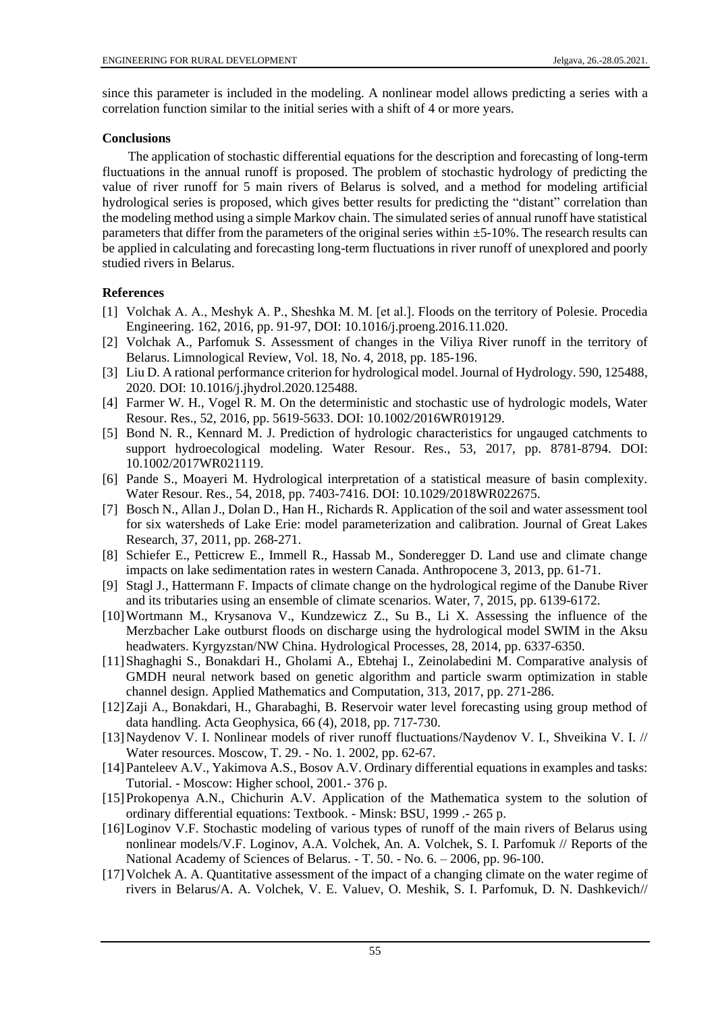since this parameter is included in the modeling. A nonlinear model allows predicting a series with a correlation function similar to the initial series with a shift of 4 or more years.

# **Conclusions**

The application of stochastic differential equations for the description and forecasting of long-term fluctuations in the annual runoff is proposed. The problem of stochastic hydrology of predicting the value of river runoff for 5 main rivers of Belarus is solved, and a method for modeling artificial hydrological series is proposed, which gives better results for predicting the "distant" correlation than the modeling method using a simple Markov chain. The simulated series of annual runoff have statistical parameters that differ from the parameters of the original series within ±5-10%. The research results can be applied in calculating and forecasting long-term fluctuations in river runoff of unexplored and poorly studied rivers in Belarus.

# **References**

- [1] Volchak A. A., Meshyk A. P., Sheshka M. M. [et al.]. Floods on the territory of Polesie. Procedia Engineering. 162, 2016, pp. 91-97, [DOI: 10.1016/j.proeng.2016.11.020.](https://doi.org/10.1016/j.proeng.2016.11.020)
- [2] Volchak A., Parfomuk S. Assessment of changes in the Viliya River runoff in the territory of Belarus. Limnological Review, Vol. 18, No. 4, 2018, pp. 185-196.
- [3] Liu D. A rational performance criterion for hydrological model. Journal of Hydrology. 590, 125488, 2020. DOI: [10.1016/j.jhydrol.2020.125488.](https://doi.org/10.1016/j.jhydrol.2020.125488)
- [4] Farmer W. H., Vogel R. M. On the deterministic and stochastic use of hydrologic models, Water Resour. Res., 52, 2016, pp. 5619-5633. DOI: [10.1002/2016WR019129.](https://doi.org/10.1002/2016WR019129)
- [5] Bond N. R., Kennard M. J. Prediction of hydrologic characteristics for ungauged catchments to support hydroecological modeling. Water Resour. Res., 53, 2017, pp. 8781-8794. [DOI:](https://doi.org/10.1002/2017WR021119)  [10.1002/2017WR021119.](https://doi.org/10.1002/2017WR021119)
- [6] Pande S., Moayeri M. Hydrological interpretation of a statistical measure of basin complexity. Water Resour. Res., 54, 2018, pp. 7403-7416. [DOI: 10.1029/2018WR022675.](https://doi.org/10.1029/2018WR022675)
- [7] Bosch N., Allan J., Dolan D., Han H., Richards R. Application of the soil and water assessment tool for six watersheds of Lake Erie: model parameterization and calibration. Journal of Great Lakes Research, 37, 2011, pp. 268-271.
- [8] Schiefer E., Petticrew E., Immell R., Hassab M., Sonderegger D. Land use and climate change impacts on lake sedimentation rates in western Canada. Anthropocene 3, 2013, pp. 61-71.
- [9] Stagl J., Hattermann F. Impacts of climate change on the hydrological regime of the Danube River and its tributaries using an ensemble of climate scenarios. Water, 7, 2015, pp. 6139-6172.
- [10]Wortmann M., Krysanova V., Kundzewicz Z., Su B., Li X. Assessing the influence of the Merzbacher Lake outburst floods on discharge using the hydrological model SWIM in the Aksu headwaters. Kyrgyzstan/NW China. Hydrological Processes, 28, 2014, pp. 6337-6350.
- [11]Shaghaghi S., Bonakdari H., Gholami A., Ebtehaj I., Zeinolabedini M. Comparative analysis of GMDH neural network based on genetic algorithm and particle swarm optimization in stable channel design. Applied Mathematics and Computation, 313, 2017, pp. 271-286.
- [12]Zaji A., Bonakdari, H., Gharabaghi, B. Reservoir water level forecasting using group method of data handling. Acta Geophysica, 66 (4), 2018, pp. 717-730.
- [13]Naydenov V. I. Nonlinear models of river runoff fluctuations/Naydenov V. I., Shveikina V. I. // Water resources. Moscow, T. 29. - No. 1. 2002, pp. 62-67.
- [14]Panteleev A.V., Yakimova A.S., Bosov A.V. Ordinary differential equations in examples and tasks: Tutorial. - Moscow: Higher school, 2001.- 376 p.
- [15]Prokopenya A.N., Chichurin A.V. Application of the Mathematica system to the solution of ordinary differential equations: Textbook. - Minsk: BSU, 1999 .- 265 p.
- [16]Loginov V.F. Stochastic modeling of various types of runoff of the main rivers of Belarus using nonlinear models/V.F. Loginov, A.A. Volchek, An. A. Volchek, S. I. Parfomuk // Reports of the National Academy of Sciences of Belarus. - T. 50. - No. 6. – 2006, pp. 96-100.
- [17]Volchek A. A. Quantitative assessment of the impact of a changing climate on the water regime of rivers in Belarus/A. A. Volchek, V. E. Valuev, O. Meshik, S. I. Parfomuk, D. N. Dashkevich//